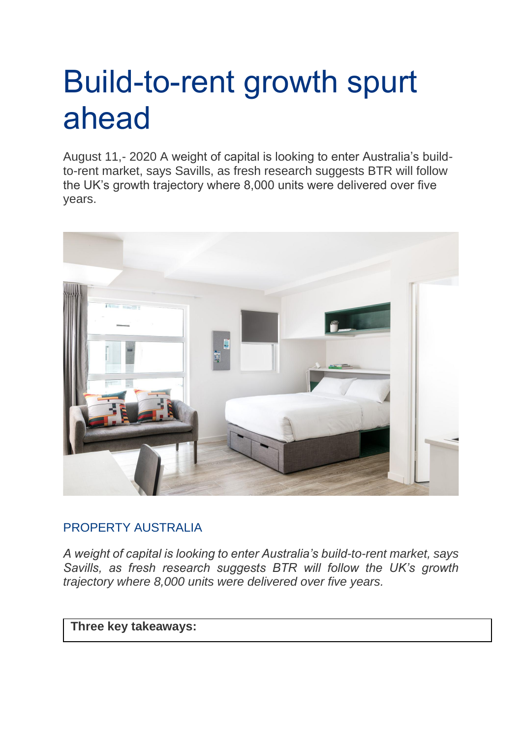## Build-to-rent growth spurt ahead

August 11,- 2020 A weight of capital is looking to enter Australia's buildto-rent market, says Savills, as fresh research suggests BTR will follow the UK's growth trajectory where 8,000 units were delivered over five years.



## [PROPERTY AUSTRALIA](https://info.propertycouncil.com.au/property-australia-blog/author/property-australia)

*A weight of capital is looking to enter Australia's build-to-rent market, says Savills, as fresh research suggests BTR will follow the UK's growth trajectory where 8,000 units were delivered over five years.*

## **Three key takeaways:**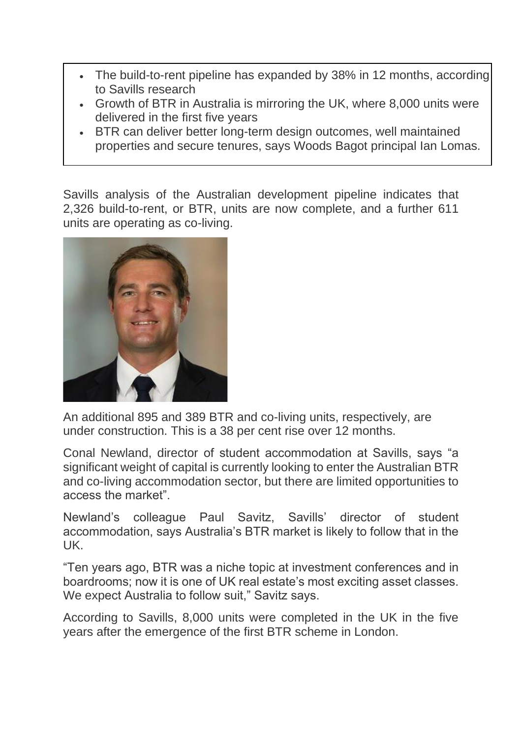- The build-to-rent pipeline has expanded by 38% in 12 months, according to Savills research
- Growth of BTR in Australia is mirroring the UK, where 8,000 units were delivered in the first five years
- BTR can deliver better long-term design outcomes, well maintained properties and secure tenures, says Woods Bagot principal Ian Lomas.

Savills analysis of the Australian development pipeline indicates that 2,326 build-to-rent, or BTR, units are now complete, and a further 611 units are operating as co-living.



An additional 895 and 389 BTR and co-living units, respectively, are under construction. This is a 38 per cent rise over 12 months.

Conal Newland, director of student accommodation at Savills, says "a significant weight of capital is currently looking to enter the Australian BTR and co-living accommodation sector, but there are limited opportunities to access the market".

Newland's colleague Paul Savitz, Savills' director of student accommodation, says Australia's BTR market is likely to follow that in the UK.

"Ten years ago, BTR was a niche topic at investment conferences and in boardrooms; now it is one of UK real estate's most exciting asset classes. We expect Australia to follow suit," Savitz says.

According to Savills, 8,000 units were completed in the UK in the five years after the emergence of the first BTR scheme in London.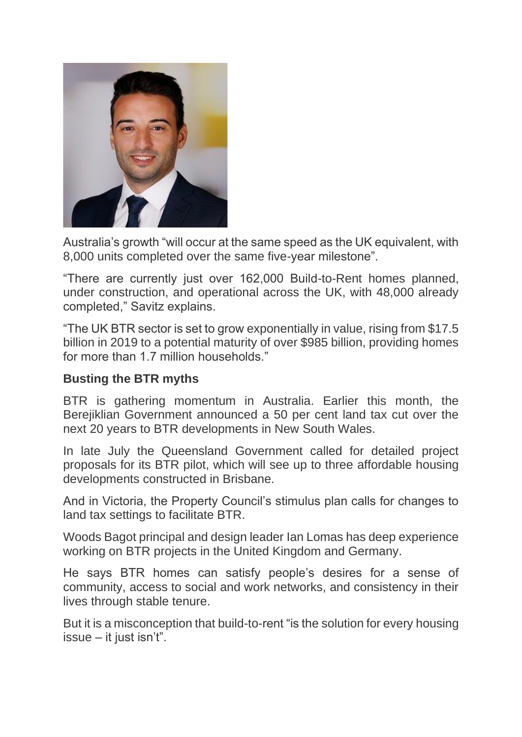

Australia's growth "will occur at the same speed as the UK equivalent, with 8,000 units completed over the same five-year milestone".

"There are currently just over 162,000 Build-to-Rent homes planned, under construction, and operational across the UK, with 48,000 already completed," Savitz explains.

"The UK BTR sector is set to grow exponentially in value, rising from \$17.5 billion in 2019 to a potential maturity of over \$985 billion, providing homes for more than 1.7 million households."

## **Busting the BTR myths**

BTR is gathering momentum in Australia. Earlier this month, the Berejiklian Government announced a 50 per cent land tax cut over the next 20 years to BTR developments in New South Wales.

In late July the Queensland Government called for detailed project proposals for its BTR pilot, which will see up to three affordable housing developments constructed in Brisbane.

And in Victoria, the Property Council's stimulus plan calls for changes to land tax settings to facilitate BTR.

Woods Bagot principal and design leader Ian Lomas has deep experience working on BTR projects in the United Kingdom and Germany.

He says BTR homes can satisfy people's desires for a sense of community, access to social and work networks, and consistency in their lives through stable tenure.

But it is a misconception that build-to-rent "is the solution for every housing issue – it just isn't".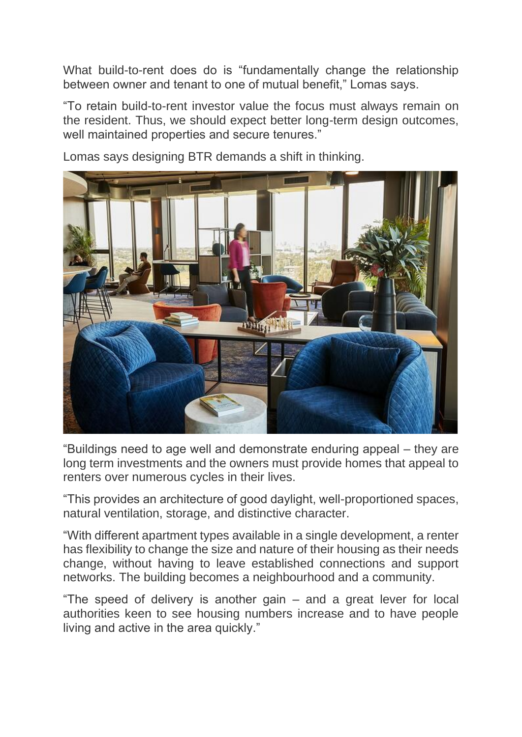What build-to-rent does do is "fundamentally change the relationship between owner and tenant to one of mutual benefit," Lomas says.

"To retain build-to-rent investor value the focus must always remain on the resident. Thus, we should expect better long-term design outcomes, well maintained properties and secure tenures."

Lomas says designing BTR demands a shift in thinking.

"Buildings need to age well and demonstrate enduring appeal – they are long term investments and the owners must provide homes that appeal to renters over numerous cycles in their lives.

"This provides an architecture of good daylight, well-proportioned spaces, natural ventilation, storage, and distinctive character.

"With different apartment types available in a single development, a renter has flexibility to change the size and nature of their housing as their needs change, without having to leave established connections and support networks. The building becomes a neighbourhood and a community.

"The speed of delivery is another gain – and a great lever for local authorities keen to see housing numbers increase and to have people living and active in the area quickly."